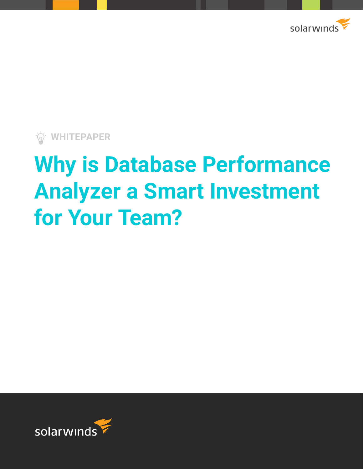

**WHITEPAPER**

# **Why is Database Performance Analyzer a Smart Investment for Your Team?**

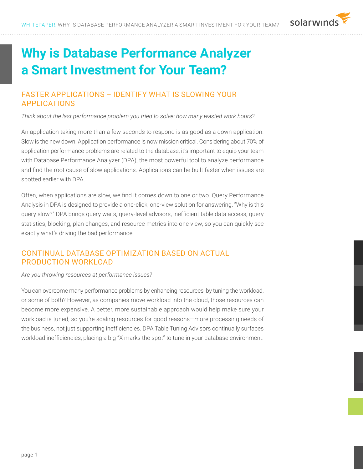

# **Why is Database Performance Analyzer a Smart Investment for Your Team?**

# FASTER APPLICATIONS – IDENTIFY WHAT IS SLOWING YOUR APPLICATIONS

*Think about the last performance problem you tried to solve: how many wasted work hours?*

An application taking more than a few seconds to respond is as good as a down application. Slow is the new down. Application performance is now mission critical. Considering about 70% of application performance problems are related to the database, it's important to equip your team with Database Performance Analyzer (DPA), the most powerful tool to analyze performance and find the root cause of slow applications. Applications can be built faster when issues are spotted earlier with DPA.

Often, when applications are slow, we find it comes down to one or two. Query Performance Analysis in DPA is designed to provide a one-click, one-view solution for answering, "Why is this query slow?" DPA brings query waits, query-level advisors, inefficient table data access, query statistics, blocking, plan changes, and resource metrics into one view, so you can quickly see exactly what's driving the bad performance.

# CONTINUAL DATABASE OPTIMIZATION BASED ON ACTUAL PRODUCTION WORKLOAD

*Are you throwing resources at performance issues?*

You can overcome many performance problems by enhancing resources, by tuning the workload, or some of both? However, as companies move workload into the cloud, those resources can become more expensive. A better, more sustainable approach would help make sure your workload is tuned, so you're scaling resources for good reasons—more processing needs of the business, not just supporting inefficiencies. DPA Table Tuning Advisors continually surfaces workload inefficiencies, placing a big "X marks the spot" to tune in your database environment.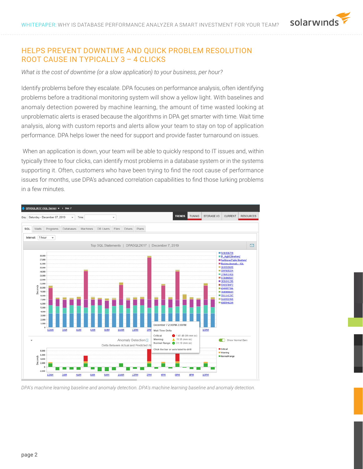#### HELPS PREVENT DOWNTIME AND QUICK PROBLEM RESOLUTION ROOT CAUSE IN TYPICALLY 3 – 4 CLICKS

*What is the cost of downtime (or a slow application) to your business, per hour?*

Identify problems before they escalate. DPA focuses on performance analysis, often identifying problems before a traditional monitoring system will show a yellow light. With baselines and anomaly detection powered by machine learning, the amount of time wasted looking at unproblematic alerts is erased because the algorithms in DPA get smarter with time. Wait time analysis, along with custom reports and alerts allow your team to stay on top of application performance. DPA helps lower the need for support and provide faster turnaround on issues.

 When an application is down, your team will be able to quickly respond to IT issues and, within typically three to four clicks, can identify most problems in a database system or in the systems supporting it. Often, customers who have been trying to find the root cause of performance issues for months, use DPA's advanced correlation capabilities to find those lurking problems in a few minutes.



*DPA's machine learning baseline and anomaly detection. DPA's machine learning baseline and anomaly detection.*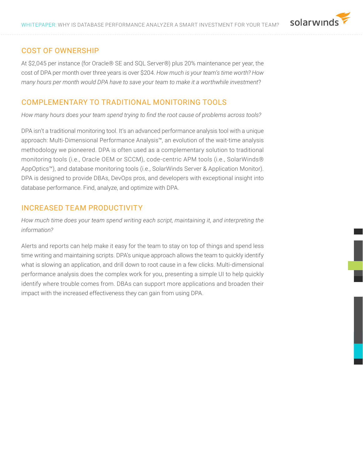#### COST OF OWNERSHIP

At \$2,045 per instance (for Oracle® SE and SQL Server®) plus 20% maintenance per year, the cost of DPA per month over three years is over \$204. *How much is your team's time worth? How many hours per month would DPA have to save your team to make it a worthwhile investment*?

#### COMPLEMENTARY TO TRADITIONAL MONITORING TOOLS

*How many hours does your team spend trying to find the root cause of problems across tools?*

DPA isn't a traditional monitoring tool. It's an advanced performance analysis tool with a unique approach: Multi-Dimensional Performance Analysis™, an evolution of the wait-time analysis methodology we pioneered. DPA is often used as a complementary solution to traditional monitoring tools (i.e., Oracle OEM or SCCM), code-centric APM tools (i.e., SolarWinds® AppOptics™), and database monitoring tools (i.e., SolarWinds Server & Application Monitor). DPA is designed to provide DBAs, DevOps pros, and developers with exceptional insight into database performance. Find, analyze, and optimize with DPA.

#### INCREASED TEAM PRODUCTIVITY

*How much time does your team spend writing each script, maintaining it, and interpreting the information?*

Alerts and reports can help make it easy for the team to stay on top of things and spend less time writing and maintaining scripts. DPA's unique approach allows the team to quickly identify what is slowing an application, and drill down to root cause in a few clicks. Multi-dimensional performance analysis does the complex work for you, presenting a simple UI to help quickly identify where trouble comes from. DBAs can support more applications and broaden their impact with the increased effectiveness they can gain from using DPA.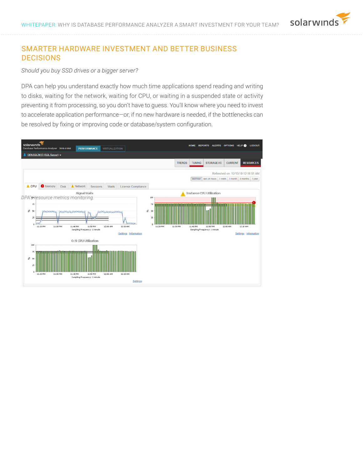# SMARTER HARDWARE INVESTMENT AND BETTER BUSINESS DECISIONS

*Should you buy SSD drives or a bigger server?*

DPA can help you understand exactly how much time applications spend reading and writing to disks, waiting for the network, waiting for CPU, or waiting in a suspended state or activity preventing it from processing, so you don't have to guess. You'll know where you need to invest to accelerate application performance—or, if no new hardware is needed, if the bottlenecks can be resolved by fixing or improving code or database/system configuration.

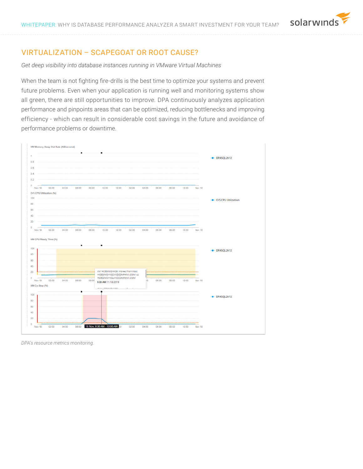# VIRTUALIZATION – SCAPEGOAT OR ROOT CAUSE?

*Get deep visibility into database instances running in VMware Virtual Machines* 

When the team is not fighting fire-drills is the best time to optimize your systems and prevent future problems. Even when your application is running well and monitoring systems show all green, there are still opportunities to improve. DPA continuously analyzes application performance and pinpoints areas that can be optimized, reducing bottlenecks and improving efficiency - which can result in considerable cost savings in the future and avoidance of performance problems or downtime.



*DPA's resource metrics monitoring.*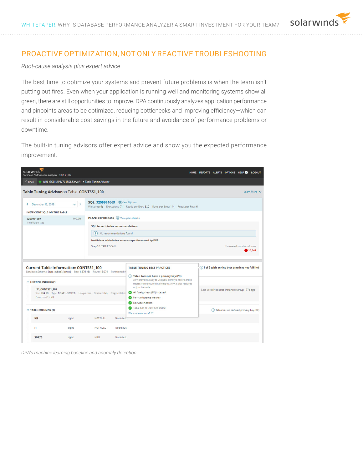

# PROACTIVE OPTIMIZATION, NOT ONLY REACTIVE TROUBLESHOOTING

*Root-cause analysis plus expert advice* 

The best time to optimize your systems and prevent future problems is when the team isn't putting out fires. Even when your application is running well and monitoring systems show all green, there are still opportunities to improve. DPA continuously analyzes application performance and pinpoints areas to be optimized, reducing bottlenecks and improving efficiency—which can result in considerable cost savings in the future and avoidance of performance problems or downtime.

The built-in tuning advisors offer expert advice and show you the expected performance improvement.



*DPA's machine learning baseline and anomaly detection.*